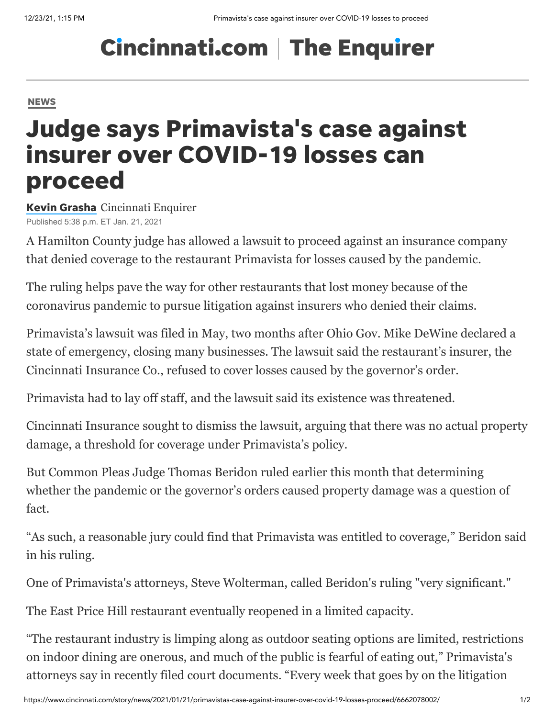## **Cincinnati.com | The Enquirer**

## **[NEWS](https://www.cincinnati.com/news/)**

## Judge says Primavista's case against insurer over COVID-19 losses can proceed

Kevin [Grasha](https://www.cincinnati.com/staff/2647253001/kevin-grasha/) Cincinnati Enquirer Published 5:38 p.m. ET Jan. 21, 2021

A Hamilton County judge has allowed a lawsuit to proceed against an insurance company that denied coverage to the restaurant Primavista for losses caused by the pandemic.

The ruling helps pave the way for other restaurants that lost money because of the coronavirus pandemic to pursue litigation against insurers who denied their claims.

[Primavista's lawsuit was filed in May](https://www.cincinnati.com/story/news/2020/05/04/primavista-among-businesses-wide-scale-denial-covid-19-coverage/3077197001/), two months after Ohio Gov. Mike DeWine declared a state of emergency, closing many businesses. The lawsuit said the restaurant's insurer, the Cincinnati Insurance Co., refused to cover losses caused by the governor's order.

Primavista had to lay off staff, and the lawsuit said its existence was threatened.

Cincinnati Insurance sought to dismiss the lawsuit, arguing that there was no actual property damage, a threshold for coverage under Primavista's policy.

But Common Pleas Judge Thomas Beridon ruled earlier this month that determining whether the pandemic or the governor's orders caused property damage was a question of fact.

"As such, a reasonable jury could find that Primavista was entitled to coverage," Beridon said in his ruling.

One of Primavista's attorneys, Steve Wolterman, called Beridon's ruling "very significant."

The East Price Hill restaurant eventually reopened in a limited capacity.

"The restaurant industry is limping along as outdoor seating options are limited, restrictions on indoor dining are onerous, and much of the public is fearful of eating out," Primavista's attorneys say in recently filed court documents. "Every week that goes by on the litigation